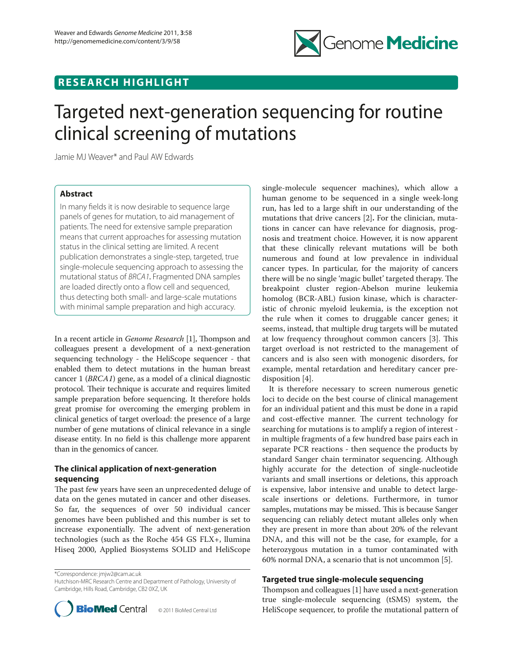

# **RESEARCH HIGHLIGHT**

# Targeted next-generation sequencing for routine clinical screening of mutations

Jamie MJ Weaver\* and Paul AW Edwards

# **Abstract**

In many fields it is now desirable to sequence large panels of genes for mutation, to aid management of patients. The need for extensive sample preparation means that current approaches for assessing mutation status in the clinical setting are limited. A recent publication demonstrates a single-step, targeted, true single-molecule sequencing approach to assessing the mutational status of *BRCA1.* Fragmented DNA samples are loaded directly onto a flow cell and sequenced, thus detecting both small- and large-scale mutations with minimal sample preparation and high accuracy.

In a recent article in *Genome Research* [1], Thompson and colleagues present a development of a next-generation sequencing technology - the HeliScope sequencer - that enabled them to detect mutations in the human breast cancer 1 (*BRCA1*) gene, as a model of a clinical diagnostic protocol. Their technique is accurate and requires limited sample preparation before sequencing. It therefore holds great promise for overcoming the emerging problem in clinical genetics of target overload: the presence of a large number of gene mutations of clinical relevance in a single disease entity. In no field is this challenge more apparent than in the genomics of cancer.

# **The clinical application of next-generation sequencing**

The past few years have seen an unprecedented deluge of data on the genes mutated in cancer and other diseases. So far, the sequences of over 50 individual cancer genomes have been published and this number is set to increase exponentially. The advent of next-generation technologies (such as the Roche 454 GS FLX+, llumina Hiseq 2000, Applied Biosystems SOLID and HeliScope

\*Correspondence: jmjw2@cam.ac.uk

Hutchison-MRC Research Centre and Department of Pathology, University of Cambridge, Hills Road, Cambridge, CB2 0XZ, UK



single-molecule sequencer machines), which allow a human genome to be sequenced in a single week-long run, has led to a large shift in our understanding of the mutations that drive cancers [2]**.** For the clinician, mutations in cancer can have relevance for diagnosis, prognosis and treatment choice. However, it is now apparent that these clinically relevant mutations will be both numerous and found at low prevalence in individual cancer types. In particular, for the majority of cancers there will be no single 'magic bullet' targeted therapy. The breakpoint cluster region-Abelson murine leukemia homolog (BCR-ABL) fusion kinase, which is characteristic of chronic myeloid leukemia, is the exception not the rule when it comes to druggable cancer genes; it seems, instead, that multiple drug targets will be mutated at low frequency throughout common cancers [3]. This target overload is not restricted to the management of cancers and is also seen with monogenic disorders, for example, mental retardation and hereditary cancer predisposition [4].

It is therefore necessary to screen numerous genetic loci to decide on the best course of clinical management for an individual patient and this must be done in a rapid and cost-effective manner. The current technology for searching for mutations is to amplify a region of interest in multiple fragments of a few hundred base pairs each in separate PCR reactions - then sequence the products by standard Sanger chain terminator sequencing. Although highly accurate for the detection of single-nucleotide variants and small insertions or deletions, this approach is expensive, labor intensive and unable to detect largescale insertions or deletions. Furthermore, in tumor samples, mutations may be missed. This is because Sanger sequencing can reliably detect mutant alleles only when they are present in more than about 20% of the relevant DNA, and this will not be the case, for example, for a heterozygous mutation in a tumor contaminated with 60% normal DNA, a scenario that is not uncommon [5].

## **Targeted true single-molecule sequencing**

Thompson and colleagues  $[1]$  have used a next-generation true single-molecule sequencing (tSMS) system, the HeliScope sequencer, to profile the mutational pattern of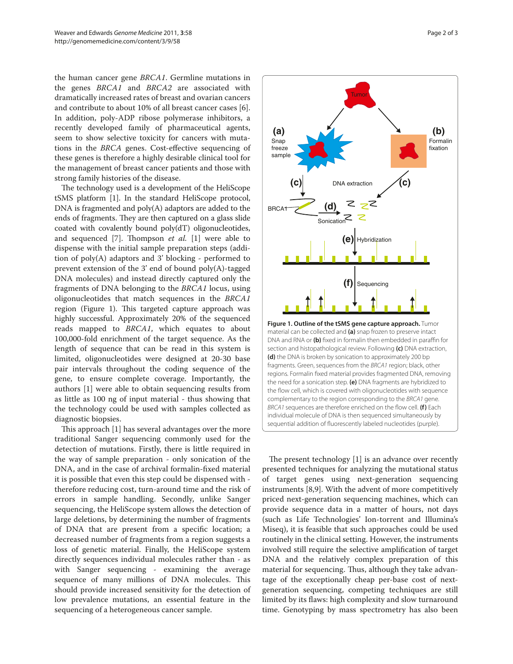the human cancer gene *BRCA1*. Germline mutations in the genes *BRCA1* and *BRCA2* are associated with dramatically increased rates of breast and ovarian cancers and contribute to about 10% of all breast cancer cases [6]. In addition, poly-ADP ribose polymerase inhibitors, a recently developed family of pharmaceutical agents, seem to show selective toxicity for cancers with mutations in the *BRCA* genes. Cost-effective sequencing of these genes is therefore a highly desirable clinical tool for the management of breast cancer patients and those with strong family histories of the disease.

The technology used is a development of the HeliScope tSMS platform [1]. In the standard HeliScope protocol, DNA is fragmented and poly(A) adaptors are added to the ends of fragments. They are then captured on a glass slide coated with covalently bound poly(dT) oligonucleotides, and sequenced [7]. Thompson *et al.* [1] were able to dispense with the initial sample preparation steps (addition of poly(A) adaptors and 3' blocking - performed to prevent extension of the 3' end of bound poly(A)-tagged DNA molecules) and instead directly captured only the fragments of DNA belonging to the *BRCA1* locus, using oligonucleotides that match sequences in the *BRCA1* region (Figure 1). This targeted capture approach was highly successful. Approximately 20% of the sequenced reads mapped to *BRCA1*, which equates to about 100,000-fold enrichment of the target sequence. As the length of sequence that can be read in this system is limited, oligonucleotides were designed at 20-30 base pair intervals throughout the coding sequence of the gene, to ensure complete coverage. Importantly, the authors [1] were able to obtain sequencing results from as little as 100 ng of input material - thus showing that the technology could be used with samples collected as diagnostic biopsies.

This approach [1] has several advantages over the more traditional Sanger sequencing commonly used for the detection of mutations. Firstly, there is little required in the way of sample preparation - only sonication of the DNA, and in the case of archival formalin-fixed material it is possible that even this step could be dispensed with therefore reducing cost, turn-around time and the risk of errors in sample handling. Secondly, unlike Sanger sequencing, the HeliScope system allows the detection of large deletions, by determining the number of fragments of DNA that are present from a specific location; a decreased number of fragments from a region suggests a loss of genetic material. Finally, the HeliScope system directly sequences individual molecules rather than - as with Sanger sequencing - examining the average sequence of many millions of DNA molecules. This should provide increased sensitivity for the detection of low prevalence mutations, an essential feature in the sequencing of a heterogeneous cancer sample.



The present technology [1] is an advance over recently presented techniques for analyzing the mutational status of target genes using next-generation sequencing instruments [8,9]. With the advent of more competitively priced next-generation sequencing machines, which can provide sequence data in a matter of hours, not days (such as Life Technologies' Ion-torrent and Illumina's Miseq), it is feasible that such approaches could be used routinely in the clinical setting. However, the instruments involved still require the selective amplification of target DNA and the relatively complex preparation of this material for sequencing. Thus, although they take advantage of the exceptionally cheap per-base cost of nextgeneration sequencing, competing techniques are still limited by its flaws: high complexity and slow turnaround time. Genotyping by mass spectrometry has also been